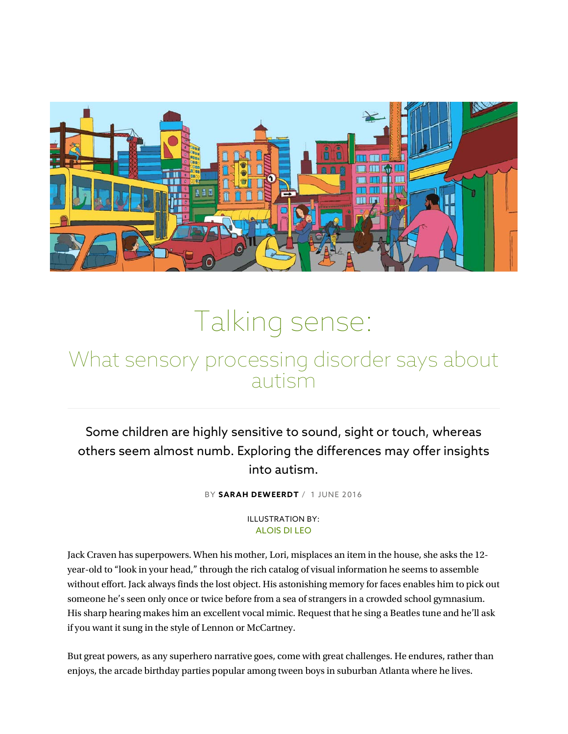

# Talking sense:

# What sensory processing disorder says about autism

Some children are highly sensitive to sound, sight or touch, whereas others seem almost numb. Exploring the differences may offer insights into autism.

BY SARAH DEWEERDT / 1 JUNE 2016

#### ILLUSTRATION BY: ALOIS DI LEO

Jack Craven has superpowers. When his mother, Lori, misplaces an item in the house, she asks the 12 year-old to "look in your head," through the rich catalog of visual information he seems to assemble without effort. Jack always finds the lost object. His astonishing memory for faces enables him to pick out someone he's seen only once or twice before from a sea of strangers in a crowded school gymnasium. His sharp hearing makes him an excellent vocal mimic. Request that he sing a Beatles tune and he'll ask if you want it sung in the style of Lennon or McCartney.

But great powers, as any superhero narrative goes, come with great challenges. He endures, rather than enjoys, the arcade birthday parties popular among tween boys in suburban Atlanta where he lives.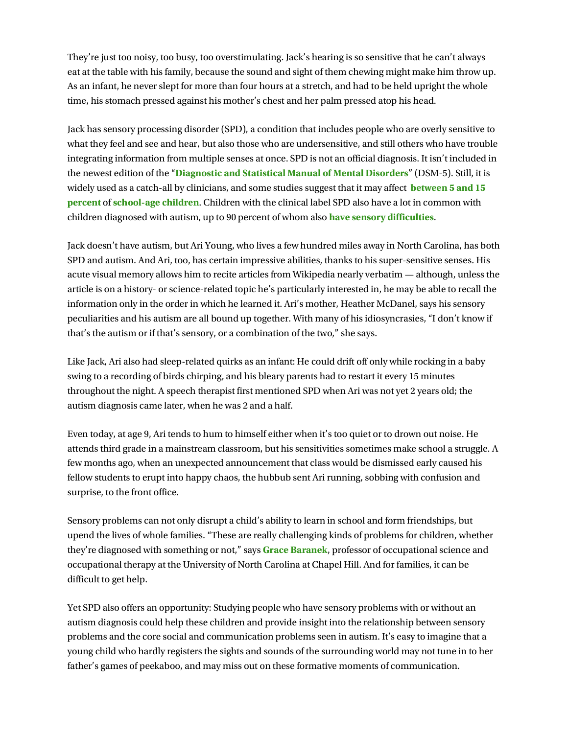They're just too noisy, too busy, too overstimulating. Jack's hearing is so sensitive that he can't always eat at the table with his family, because the sound and sight of them chewing might make him throw up. As an infant, he never slept for more than four hours at a stretch, and had to be held upright the whole time, his stomach pressed against his mother's chest and her palm pressed atop his head.

Jack has sensory processing disorder (SPD), a condition that includes people who are overly sensitive to what they feel and see and hear, but also those who are undersensitive, and still others who have trouble integrating information from multiple senses at once. SPD is not an official diagnosis. It isn't included in the newest edition of the "Diagnostic and Statistical Manual of Mental Disorders" (DSM-5). Still, it is widely used as a catch-all by clinicians, and some studies suggest that it may affect between 5 and 15 percent of school-age children. Children with the clinical label SPD also have a lot in common with children diagnosed with autism, up to 90 percent of whom also **have sensory difficulties**.

Jack doesn't have autism, but Ari Young, who lives a few hundred miles away in North Carolina, has both SPD and autism. And Ari, too, has certain impressive abilities, thanks to his super-sensitive senses. His acute visual memory allows him to recite articles from Wikipedia nearly verbatim — although, unless the article is on a history- or science-related topic he's particularly interested in, he may be able to recall the information only in the order in which he learned it. Ari's mother, Heather McDanel, says his sensory peculiarities and his autism are all bound up together. With many of his idiosyncrasies, "I don't know if that's the autism or if that's sensory, or a combination of the two," she says.

Like Jack, Ari also had sleep-related quirks as an infant: He could drift off only while rocking in a baby swing to a recording of birds chirping, and his bleary parents had to restart it every 15 minutes throughout the night. A speech therapist first mentioned SPD when Ari was not yet 2 years old; the autism diagnosis came later, when he was 2 and a half.

Even today, at age 9, Ari tends to hum to himself either when it's too quiet or to drown out noise. He attends third grade in a mainstream classroom, but his sensitivities sometimes make school a struggle. A few months ago, when an unexpected announcement that class would be dismissed early caused his fellow students to erupt into happy chaos, the hubbub sent Ari running, sobbing with confusion and surprise, to the front office.

Sensory problems can not only disrupt a child's ability to learn in school and form friendships, but upend the lives of whole families. "These are really challenging kinds of problems for children, whether they're diagnosed with something or not," says **Grace Baranek**, professor of occupational science and occupational therapy at the University of North Carolina at Chapel Hill. And for families, it can be difficult to get help.

Yet SPD also offers an opportunity: Studying people who have sensory problems with or without an autism diagnosis could help these children and provide insight into the relationship between sensory problems and the core social and communication problems seen in autism. It's easy to imagine that a young child who hardly registers the sights and sounds of the surrounding world may not tune in to her father's games of peekaboo, and may miss out on these formative moments of communication.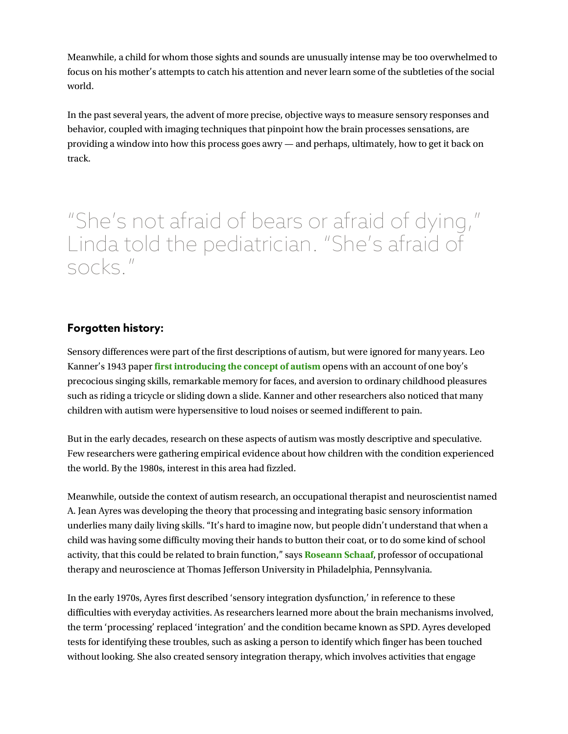Meanwhile, a child for whom those sights and sounds are unusually intense may be too overwhelmed to focus on his mother's attempts to catch his attention and never learn some of the subtleties of the social world.

In the past several years, the advent of more precise, objective ways to measure sensory responses and behavior, coupled with imaging techniques that pinpoint how the brain processes sensations, are providing a window into how this process goes awry — and perhaps, ultimately, how to get it back on track.

"She's not afraid of bears or afraid of dying," Linda told the pediatrician. "She's afraid of socks."

## Forgotten history:

Sensory differences were part of the first descriptions of autism, but were ignored for many years. Leo Kanner's 1943 paper first introducing the concept of autism opens with an account of one boy's precocious singing skills, remarkable memory for faces, and aversion to ordinary childhood pleasures such as riding a tricycle or sliding down a slide. Kanner and other researchers also noticed that many children with autism were hypersensitive to loud noises or seemed indifferent to pain.

But in the early decades, research on these aspects of autism was mostly descriptive and speculative. Few researchers were gathering empirical evidence about how children with the condition experienced the world. By the 1980s, interest in this area had fizzled.

Meanwhile, outside the context of autism research, an occupational therapist and neuroscientist named A. Jean Ayres was developing the theory that processing and integrating basic sensory information underlies many daily living skills. "It's hard to imagine now, but people didn't understand that when a child was having some difficulty moving their hands to button their coat, or to do some kind of school activity, that this could be related to brain function," says Roseann Schaaf, professor of occupational therapy and neuroscience at Thomas Jefferson University in Philadelphia, Pennsylvania.

In the early 1970s, Ayres first described 'sensory integration dysfunction,' in reference to these difficulties with everyday activities. As researchers learned more about the brain mechanisms involved, the term 'processing' replaced 'integration' and the condition became known as SPD. Ayres developed tests for identifying these troubles, such as asking a person to identify which finger has been touched without looking. She also created sensory integration therapy, which involves activities that engage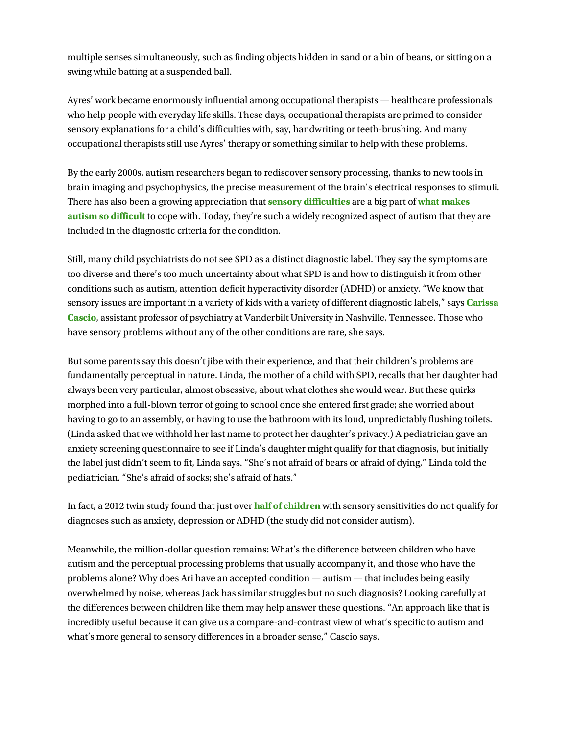multiple senses simultaneously, such as finding objects hidden in sand or a bin of beans, or sitting on a swing while batting at a suspended ball.

Ayres' work became enormously influential among occupational therapists — healthcare professionals who help people with everyday life skills. These days, occupational therapists are primed to consider sensory explanations for a child's difficulties with, say, handwriting or teeth-brushing. And many occupational therapists still use Ayres' therapy or something similar to help with these problems.

By the early 2000s, autism researchers began to rediscover sensory processing, thanks to new tools in brain imaging and psychophysics, the precise measurement of the brain's electrical responses to stimuli. There has also been a growing appreciation that **sensory difficulties** are a big part of what makes autism so difficult to cope with. Today, they're such a widely recognized aspect of autism that they are included in the diagnostic criteria for the condition.

Still, many child psychiatrists do not see SPD as a distinct diagnostic label. They say the symptoms are too diverse and there's too much uncertainty about what SPD is and how to distinguish it from other conditions such as autism, attention deficit hyperactivity disorder (ADHD) or anxiety. "We know that sensory issues are important in a variety of kids with a variety of different diagnostic labels," says **Carissa** Cascio, assistant professor of psychiatry at Vanderbilt University in Nashville, Tennessee. Those who have sensory problems without any of the other conditions are rare, she says.

But some parents say this doesn't jibe with their experience, and that their children's problems are fundamentally perceptual in nature. Linda, the mother of a child with SPD, recalls that her daughter had always been very particular, almost obsessive, about what clothes she would wear. But these quirks morphed into a full-blown terror of going to school once she entered first grade; she worried about having to go to an assembly, or having to use the bathroom with its loud, unpredictably flushing toilets. (Linda asked that we withhold her last name to protect her daughter's privacy.) A pediatrician gave an anxiety screening questionnaire to see if Linda's daughter might qualify for that diagnosis, but initially the label just didn't seem to fit, Linda says. "She's not afraid of bears or afraid of dying," Linda told the pediatrician. "She's afraid of socks; she's afraid of hats."

In fact, a 2012 twin study found that just over **half of children** with sensory sensitivities do not qualify for diagnoses such as anxiety, depression or ADHD (the study did not consider autism).

Meanwhile, the million-dollar question remains: What's the difference between children who have autism and the perceptual processing problems that usually accompany it, and those who have the problems alone? Why does Ari have an accepted condition — autism — that includes being easily overwhelmed by noise, whereas Jack has similar struggles but no such diagnosis? Looking carefully at the differences between children like them may help answer these questions. "An approach like that is incredibly useful because it can give us a compare-and-contrast view of what's specific to autism and what's more general to sensory differences in a broader sense," Cascio says.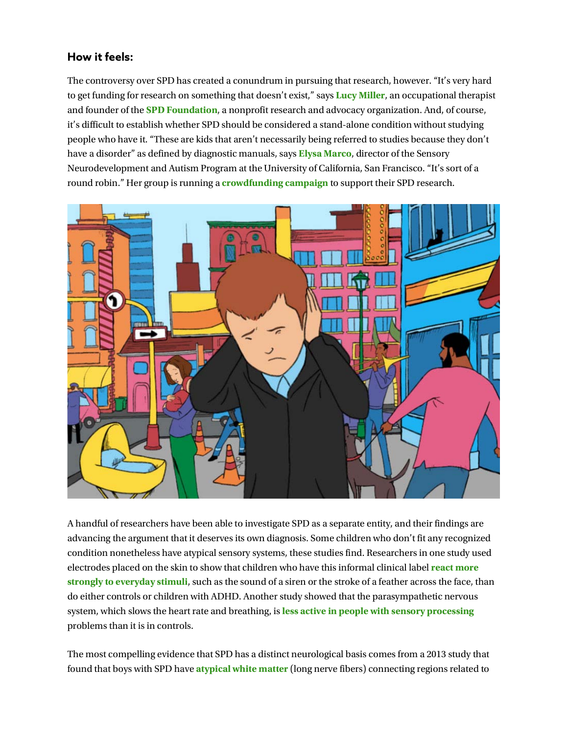## How it feels:

The controversy over SPD has created a conundrum in pursuing that research, however. "It's very hard to get funding for research on something that doesn't exist," says Lucy Miller, an occupational therapist and founder of the SPD Foundation, a nonprofit research and advocacy organization. And, of course, it's difficult to establish whether SPD should be considered a stand-alone condition without studying people who have it. "These are kids that aren't necessarily being referred to studies because they don't have a disorder" as defined by diagnostic manuals, says Elysa Marco, director of the Sensory Neurodevelopment and Autism Program at the University of California, San Francisco. "It's sort of a round robin." Her group is running a crowdfunding campaign to support their SPD research.



A handful of researchers have been able to investigate SPD as a separate entity, and their findings are advancing the argument that it deserves its own diagnosis. Some children who don't fit any recognized condition nonetheless have atypical sensory systems, these studies find. Researchers in one study used electrodes placed on the skin to show that children who have this informal clinical label react more strongly to everyday stimuli, such as the sound of a siren or the stroke of a feather across the face, than do either controls or children with ADHD. Another study showed that the parasympathetic nervous system, which slows the heart rate and breathing, is less active in people with sensory processing problems than it is in controls.

The most compelling evidence that SPD has a distinct neurological basis comes from a 2013 study that found that boys with SPD have **atypical white matter** (long nerve fibers) connecting regions related to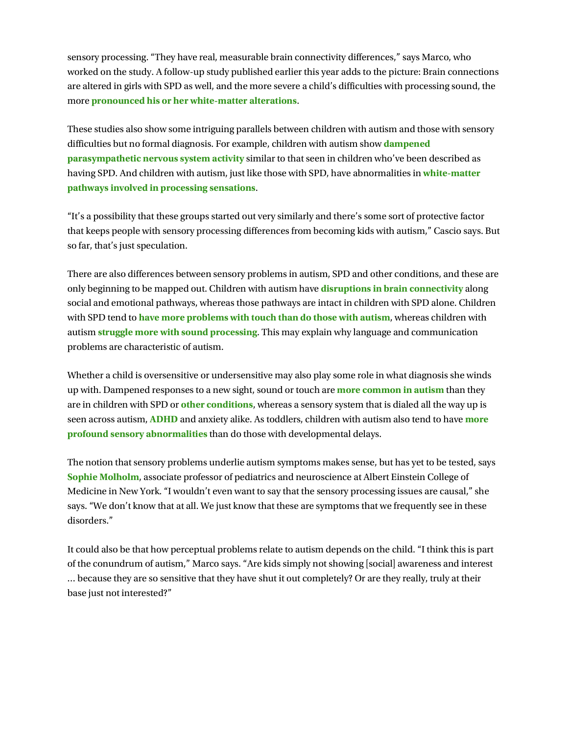sensory processing. "They have real, measurable brain connectivity differences," says Marco, who worked on the study. A follow-up study published earlier this year adds to the picture: Brain connections are altered in girls with SPD as well, and the more severe a child's difficulties with processing sound, the more pronounced his or her white-matter alterations.

These studies also show some intriguing parallels between children with autism and those with sensory difficulties but no formal diagnosis. For example, children with autism show dampened parasympathetic nervous system activity similar to that seen in children who've been described as having SPD. And children with autism, just like those with SPD, have abnormalities in white-matter pathways involved in processing sensations.

"It's a possibility that these groups started out very similarly and there's some sort of protective factor that keeps people with sensory processing differences from becoming kids with autism," Cascio says. But so far, that's just speculation.

There are also differences between sensory problems in autism, SPD and other conditions, and these are only beginning to be mapped out. Children with autism have **disruptions in brain connectivity** along social and emotional pathways, whereas those pathways are intact in children with SPD alone. Children with SPD tend to have more problems with touch than do those with autism, whereas children with autism struggle more with sound processing. This may explain why language and communication problems are characteristic of autism.

Whether a child is oversensitive or undersensitive may also play some role in what diagnosis she winds up with. Dampened responses to a new sight, sound or touch are **more common in autism** than they are in children with SPD or other conditions, whereas a sensory system that is dialed all the way up is seen across autism, ADHD and anxiety alike. As toddlers, children with autism also tend to have more profound sensory abnormalities than do those with developmental delays.

The notion that sensory problems underlie autism symptoms makes sense, but has yet to be tested, says Sophie Molholm, associate professor of pediatrics and neuroscience at Albert Einstein College of Medicine in New York. "I wouldn't even want to say that the sensory processing issues are causal," she says. "We don't know that at all. We just know that these are symptoms that we frequently see in these disorders."

It could also be that how perceptual problems relate to autism depends on the child. "I think this is part of the conundrum of autism," Marco says. "Are kids simply not showing [social] awareness and interest … because they are so sensitive that they have shut it out completely? Or are they really, truly at their base just not interested?"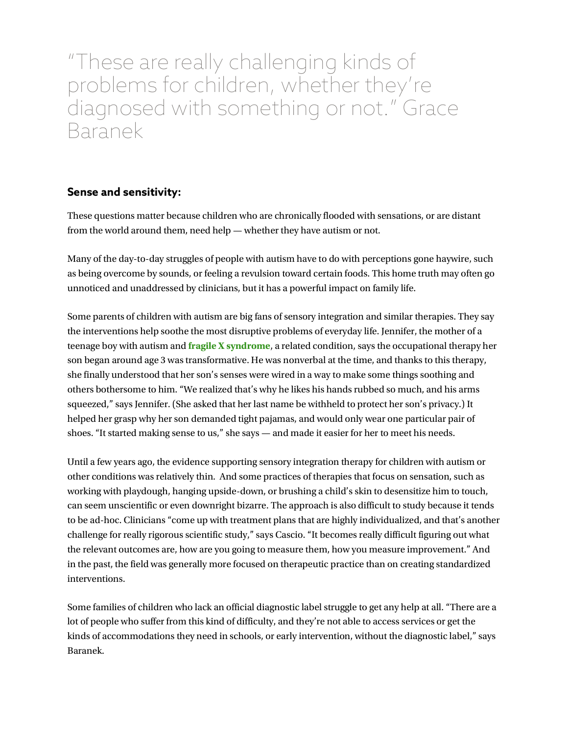"These are really challenging kinds of problems for children, whether they're diagnosed with something or not." Grace **Baranek** 

## Sense and sensitivity:

These questions matter because children who are chronically flooded with sensations, or are distant from the world around them, need help — whether they have autism or not.

Many of the day-to-day struggles of people with autism have to do with perceptions gone haywire, such as being overcome by sounds, or feeling a revulsion toward certain foods. This home truth may often go unnoticed and unaddressed by clinicians, but it has a powerful impact on family life.

Some parents of children with autism are big fans of sensory integration and similar therapies. They say the interventions help soothe the most disruptive problems of everyday life. Jennifer, the mother of a teenage boy with autism and fragile X syndrome, a related condition, says the occupational therapy her son began around age 3 was transformative. He was nonverbal at the time, and thanks to this therapy, she finally understood that her son's senses were wired in a way to make some things soothing and others bothersome to him. "We realized that's why he likes his hands rubbed so much, and his arms squeezed," says Jennifer. (She asked that her last name be withheld to protect her son's privacy.) It helped her grasp why her son demanded tight pajamas, and would only wear one particular pair of shoes. "It started making sense to us," she says — and made it easier for her to meet his needs.

Until a few years ago, the evidence supporting sensory integration therapy for children with autism or other conditions was relatively thin. And some practices of therapies that focus on sensation, such as working with playdough, hanging upside-down, or brushing a child's skin to desensitize him to touch, can seem unscientific or even downright bizarre. The approach is also difficult to study because it tends to be ad-hoc. Clinicians "come up with treatment plans that are highly individualized, and that's another challenge for really rigorous scientific study," says Cascio. "It becomes really difficult figuring out what the relevant outcomes are, how are you going to measure them, how you measure improvement." And in the past, the field was generally more focused on therapeutic practice than on creating standardized interventions.

Some families of children who lack an official diagnostic label struggle to get any help at all. "There are a lot of people who suffer from this kind of difficulty, and they're not able to access services or get the kinds of accommodations they need in schools, or early intervention, without the diagnostic label," says Baranek.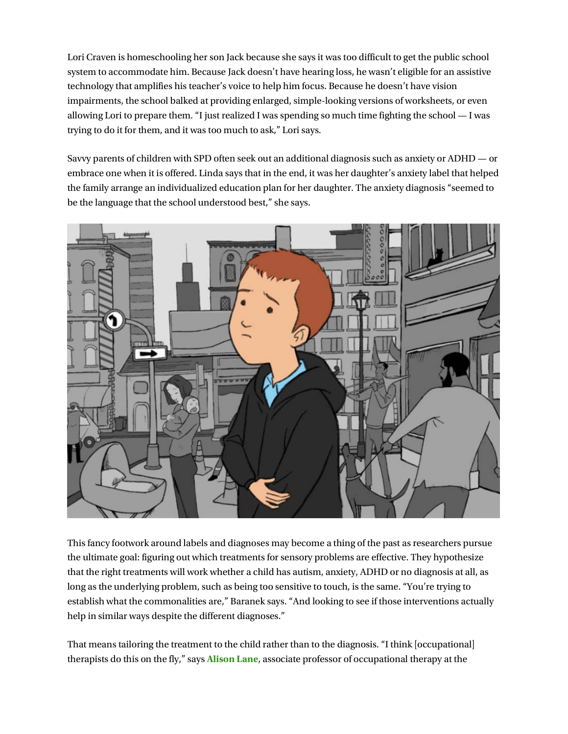Lori Craven is homeschooling her son Jack because she says it was too difficult to get the public school system to accommodate him. Because Jack doesn't have hearing loss, he wasn't eligible for an assistive technology that amplifies his teacher's voice to help him focus. Because he doesn't have vision impairments, the school balked at providing enlarged, simple-looking versions of worksheets, or even allowing Lori to prepare them. "I just realized I was spending so much time fighting the school — I was trying to do it for them, and it was too much to ask," Lori says.

Savvy parents of children with SPD often seek out an additional diagnosis such as anxiety or ADHD — or embrace one when it is offered. Linda says that in the end, it was her daughter's anxiety label that helped the family arrange an individualized education plan for her daughter. The anxiety diagnosis "seemed to be the language that the school understood best," she says.



This fancy footwork around labels and diagnoses may become a thing of the past as researchers pursue the ultimate goal: figuring out which treatments for sensory problems are effective. They hypothesize that the right treatments will work whether a child has autism, anxiety, ADHD or no diagnosis at all, as long as the underlying problem, such as being too sensitive to touch, is the same. "You're trying to establish what the commonalities are," Baranek says. "And looking to see if those interventions actually help in similar ways despite the different diagnoses."

That means tailoring the treatment to the child rather than to the diagnosis. "I think [occupational] therapists do this on the fly," says Alison Lane, associate professor of occupational therapy at the